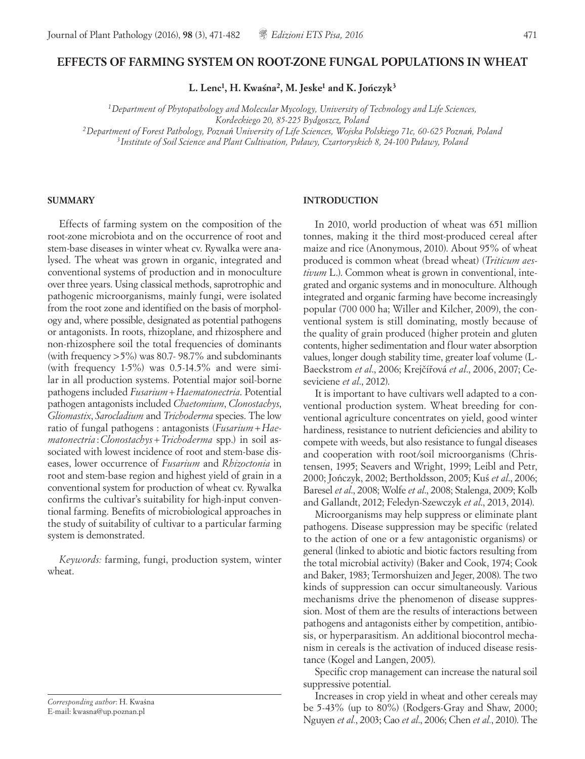# **EFFECTS OF FARMING SYSTEM ON ROOT-ZONE FUNGAL POPULATIONS IN WHEAT**

L. Lenc<sup>1</sup>, H. Kwaśna<sup>2</sup>, M. Jeske<sup>1</sup> and K. Jończyk<sup>3</sup>

*1Department of Phytopathology and Molecular Mycology, University of Technology and Life Sciences, Kordeckiego 20, 85-225 Bydgoszcz, Poland 2Department of Forest Pathology, Poznań University of Life Sciences, Wojska Polskiego 71c, 60-625 Poznań, Poland 3Institute of Soil Science and Plant Cultivation, Puławy, Czartoryskich 8, 24-100 Puławy, Poland* 

#### **SUMMARY**

Effects of farming system on the composition of the root-zone microbiota and on the occurrence of root and stem-base diseases in winter wheat cv. Rywalka were analysed. The wheat was grown in organic, integrated and conventional systems of production and in monoculture over three years. Using classical methods, saprotrophic and pathogenic microorganisms, mainly fungi, were isolated from the root zone and identified on the basis of morphology and, where possible, designated as potential pathogens or antagonists. In roots, rhizoplane, and rhizosphere and non-rhizosphere soil the total frequencies of dominants (with frequency >5%) was 80.7- 98.7% and subdominants (with frequency 1-5%) was 0.5-14.5% and were similar in all production systems. Potential major soil-borne pathogens included *Fusarium+Haematonectria*. Potential pathogen antagonists included *Chaetomium*, *Clonostachys*, *Gliomastix*, *Sarocladium* and *Trichoderma* species. The low ratio of fungal pathogens : antagonists (*Fusarium+Haematonectria* :*Clonostachys*+*Trichoderma* spp.) in soil associated with lowest incidence of root and stem-base diseases, lower occurrence of *Fusarium* and *Rhizoctonia* in root and stem-base region and highest yield of grain in a conventional system for production of wheat cv. Rywalka confirms the cultivar's suitability for high-input conventional farming. Benefits of microbiological approaches in the study of suitability of cultivar to a particular farming system is demonstrated.

*Keywords:* farming, fungi, production system, winter wheat.

*Corresponding author*: H. Kwaśna E-mail: kwasna@up.poznan.pl

#### **INTRODUCTION**

In 2010, world production of wheat was 651 million tonnes, making it the third most-produced cereal after maize and rice (Anonymous, 2010). About 95% of wheat produced is common wheat (bread wheat) (*Triticum aestivum* L.). Common wheat is grown in conventional, integrated and organic systems and in monoculture. Although integrated and organic farming have become increasingly popular (700 000 ha; Willer and Kilcher, 2009), the conventional system is still dominating, mostly because of the quality of grain produced (higher protein and gluten contents, higher sedimentation and flour water absorption values, longer dough stability time, greater loaf volume (L-Baeckstrom *et al.*, 2006; Krejčířová *et al.*, 2006, 2007; Ceseviciene *et al*., 2012).

It is important to have cultivars well adapted to a conventional production system. Wheat breeding for conventional agriculture concentrates on yield, good winter hardiness, resistance to nutrient deficiencies and ability to compete with weeds, but also resistance to fungal diseases and cooperation with root/soil microorganisms (Christensen, 1995; Seavers and Wright, 1999; Leibl and Petr, 2000; Jończyk, 2002; Bertholdsson, 2005; Kuś et al., 2006; Baresel *et al*., 2008; Wolfe *et al*., 2008; Stalenga, 2009; Kolb and Gallandt, 2012; Feledyn-Szewczyk *et al*., 2013, 2014).

Microorganisms may help suppress or eliminate plant pathogens. Disease suppression may be specific (related to the action of one or a few antagonistic organisms) or general (linked to abiotic and biotic factors resulting from the total microbial activity) (Baker and Cook, 1974; Cook and Baker, 1983; Termorshuizen and Jeger, 2008). The two kinds of suppression can occur simultaneously. Various mechanisms drive the phenomenon of disease suppression. Most of them are the results of interactions between pathogens and antagonists either by competition, antibiosis, or hyperparasitism. An additional biocontrol mechanism in cereals is the activation of induced disease resistance (Kogel and Langen, 2005).

Specific crop management can increase the natural soil suppressive potential.

Increases in crop yield in wheat and other cereals may be 5-43% (up to 80%) (Rodgers-Gray and Shaw, 2000; Nguyen *et al.*, 2003; Cao *et al*., 2006; Chen *et al.*, 2010). The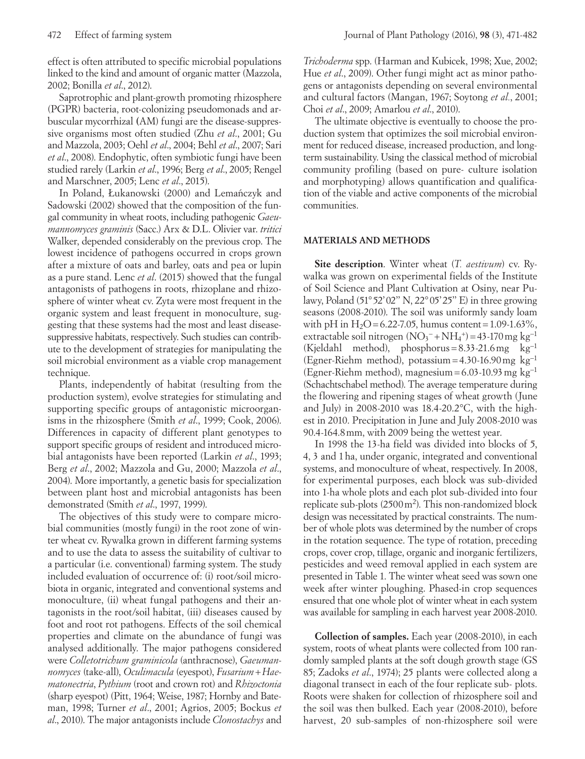effect is often attributed to specific microbial populations linked to the kind and amount of organic matter (Mazzola, 2002; Bonilla *et al*., 2012).

Saprotrophic and plant-growth promoting rhizosphere (PGPR) bacteria, root-colonizing pseudomonads and arbuscular mycorrhizal **(**AM) fungi are the disease-suppressive organisms most often studied (Zhu *et al*., 2001; Gu and Mazzola, 2003; Oehl *et al*., 2004; Behl *et al*., 2007; Sari *et al*., 2008). Endophytic, often symbiotic fungi have been studied rarely (Larkin *et al*., 1996; Berg *et al*., 2005; Rengel and Marschner, 2005; Lenc *et al*., 2015).

In Poland, Łukanowski (2000) and Lemańczyk and Sadowski (2002) showed that the composition of the fungal community in wheat roots, including pathogenic *Gaeumannomyces graminis* (Sacc.) Arx & D.L. Olivier var. *tritici* Walker, depended considerably on the previous crop. The lowest incidence of pathogens occurred in crops grown after a mixture of oats and barley, oats and pea or lupin as a pure stand. Lenc *et al*. (2015) showed that the fungal antagonists of pathogens in roots, rhizoplane and rhizosphere of winter wheat cv. Zyta were most frequent in the organic system and least frequent in monoculture, suggesting that these systems had the most and least diseasesuppressive habitats, respectively. Such studies can contribute to the development of strategies for manipulating the soil microbial environment as a viable crop management technique.

Plants, independently of habitat (resulting from the production system), evolve strategies for stimulating and supporting specific groups of antagonistic microorganisms in the rhizosphere (Smith *et al*., 1999; Cook, 2006). Differences in capacity of different plant genotypes to support specific groups of resident and introduced microbial antagonists have been reported (Larkin *et al*., 1993; Berg *et al*., 2002; Mazzola and Gu, 2000; Mazzola *et al*., 2004). More importantly, a genetic basis for specialization between plant host and microbial antagonists has been demonstrated (Smith *et al*., 1997, 1999).

The objectives of this study were to compare microbial communities (mostly fungi) in the root zone of winter wheat cv. Rywalka grown in different farming systems and to use the data to assess the suitability of cultivar to a particular (i.e. conventional) farming system. The study included evaluation of occurrence of: (i) root/soil microbiota in organic, integrated and conventional systems and monoculture, (ii) wheat fungal pathogens and their antagonists in the root/soil habitat, (iii) diseases caused by foot and root rot pathogens. Effects of the soil chemical properties and climate on the abundance of fungi was analysed additionally. The major pathogens considered were *Colletotrichum graminicola* (anthracnose), *Gaeumannomyces* (take-all), *Oculimacula* (eyespot), *Fusarium*+*Haematonectria*, *Pythium* (root and crown rot) and *Rhizoctonia* (sharp eyespot) (Pitt, 1964; Weise, 1987; Hornby and Bateman, 1998; Turner *et al*., 2001; Agrios, 2005; Bockus *et al*., 2010). The major antagonists include *Clonostachys* and *Trichoderma* spp. (Harman and Kubicek, 1998; Xue, 2002; Hue *et al*., 2009). Other fungi might act as minor pathogens or antagonists depending on several environmental and cultural factors (Mangan, 1967; Soytong *et al.*, 2001; Choi *et al*., 2009; Amarlou *et al*., 2010).

The ultimate objective is eventually to choose the production system that optimizes the soil microbial environment for reduced disease, increased production, and longterm sustainability. Using the classical method of microbial community profiling (based on pure- culture isolation and morphotyping) allows quantification and qualification of the viable and active components of the microbial communities.

### **MATERIALS AND METHODS**

**Site description**. Winter wheat (*T. aestivum*) cv. Rywalka was grown on experimental fields of the Institute of Soil Science and Plant Cultivation at Osiny, near Pulawy, Poland (51°52'02'' N, 22°05'25'' E) in three growing seasons (2008-2010). The soil was uniformly sandy loam with pH in H<sub>2</sub>O = 6.22-7.05, humus content =  $1.09-1.63\%$ , extractable soil nitrogen  $(NO<sub>3</sub><sup>-</sup> + NH<sub>4</sub><sup>+</sup>) = 43-170$  mg kg<sup>-1</sup> (Kjeldahl method), phosphorus=8.33-21.6mg kg−1 (Egner-Riehm method), potassium=4.30-16.90mg kg−1 (Egner-Riehm method), magnesium=6.03-10.93mg kg−1 (Schachtschabel method). The average temperature during the flowering and ripening stages of wheat growth (June and July) in 2008-2010 was 18.4-20.2°C, with the highest in 2010. Precipitation in June and July 2008-2010 was 90.4-164.8mm, with 2009 being the wettest year.

In 1998 the 13-ha field was divided into blocks of 5, 4, 3 and 1ha, under organic, integrated and conventional systems, and monoculture of wheat, respectively. In 2008, for experimental purposes, each block was sub-divided into 1-ha whole plots and each plot sub-divided into four replicate sub-plots (2500m2 ). This non-randomized block design was necessitated by practical constraints. The number of whole plots was determined by the number of crops in the rotation sequence. The type of rotation, preceding crops, cover crop, tillage, organic and inorganic fertilizers, pesticides and weed removal applied in each system are presented in Table 1. The winter wheat seed was sown one week after winter ploughing. Phased-in crop sequences ensured that one whole plot of winter wheat in each system was available for sampling in each harvest year 2008-2010.

**Collection of samples.** Each year (2008-2010), in each system, roots of wheat plants were collected from 100 randomly sampled plants at the soft dough growth stage (GS 85; Zadoks *et al*., 1974); 25 plants were collected along a diagonal transect in each of the four replicate sub- plots. Roots were shaken for collection of rhizosphere soil and the soil was then bulked. Each year (2008-2010), before harvest, 20 sub-samples of non-rhizosphere soil were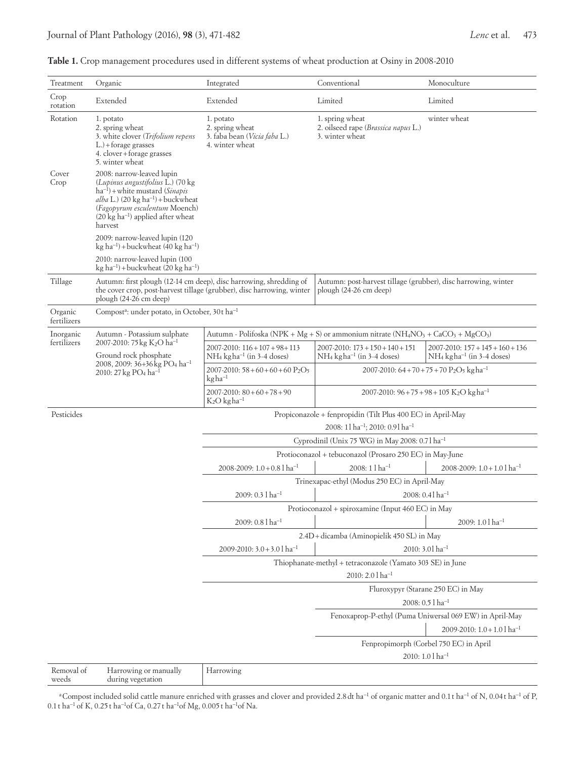| Table 1. Crop management procedures used in different systems of wheat production at Osiny in 2008-2010 |  |  |  |  |
|---------------------------------------------------------------------------------------------------------|--|--|--|--|
|---------------------------------------------------------------------------------------------------------|--|--|--|--|

| Treatment                | Organic                                                                                                                                                                                                                                                 | Integrated                                                                                                                                   | Conventional                                                                                                                     | Monoculture                                                                          |  |
|--------------------------|---------------------------------------------------------------------------------------------------------------------------------------------------------------------------------------------------------------------------------------------------------|----------------------------------------------------------------------------------------------------------------------------------------------|----------------------------------------------------------------------------------------------------------------------------------|--------------------------------------------------------------------------------------|--|
| Crop<br>rotation         | Extended                                                                                                                                                                                                                                                | Extended                                                                                                                                     | Limited                                                                                                                          | Limited                                                                              |  |
| Rotation                 | 1. potato<br>2. spring wheat<br>3. white clover (Trifolium repens<br>$L$ .) + forage grasses<br>4. clover+forage grasses<br>5. winter wheat                                                                                                             | 1. potato<br>2. spring wheat<br>3. faba bean (Vicia faba L.)<br>4. winter wheat                                                              | 1. spring wheat<br>2. oilseed rape (Brassica napus L.)<br>3. winter wheat                                                        | winter wheat                                                                         |  |
| Cover<br>Crop            | 2008: narrow-leaved lupin<br>(Lupinus angustifolius L.) (70 kg<br>$ha^{-1}$ ) + white mustard (Sinapis<br>$alba$ L.) (20 kg ha <sup>-1</sup> ) + buckwheat<br>(Fagopyrum esculentum Moench)<br>$(20 \text{ kg ha}^{-1})$ applied after wheat<br>harvest |                                                                                                                                              |                                                                                                                                  |                                                                                      |  |
|                          | 2009: narrow-leaved lupin (120<br>kg ha <sup>-1</sup> ) + buckwheat (40 kg ha <sup>-1</sup> )                                                                                                                                                           |                                                                                                                                              |                                                                                                                                  |                                                                                      |  |
|                          | 2010: narrow-leaved lupin (100<br>kg ha <sup>-1</sup> ) + buckwheat (20 kg ha <sup>-1</sup> )                                                                                                                                                           |                                                                                                                                              |                                                                                                                                  |                                                                                      |  |
| Tillage                  | plough (24-26 cm deep)                                                                                                                                                                                                                                  | Autumn: first plough (12-14 cm deep), disc harrowing, shredding of<br>the cover crop, post-harvest tillage (grubber), disc harrowing, winter | Autumn: post-harvest tillage (grubber), disc harrowing, winter<br>plough (24-26 cm deep)                                         |                                                                                      |  |
| Organic<br>fertilizers   | Compost <sup>a</sup> : under potato, in October, 30t ha <sup>-1</sup>                                                                                                                                                                                   |                                                                                                                                              |                                                                                                                                  |                                                                                      |  |
| Inorganic<br>fertilizers | Autumn - Potassium sulphate                                                                                                                                                                                                                             |                                                                                                                                              | Autumn - Polifoska (NPK + Mg + S) or ammonium nitrate (NH <sub>4</sub> NO <sub>3</sub> + CaCO <sub>3</sub> + MgCO <sub>3</sub> ) |                                                                                      |  |
|                          | 2007-2010: 75 kg K <sub>2</sub> O ha <sup>-1</sup><br>Ground rock phosphate                                                                                                                                                                             | $2007 - 2010$ : $116 + 107 + 98 + 113$<br>NH <sub>4</sub> kgha <sup>-1</sup> (in 3-4 doses)                                                  | $2007-2010$ : $173 + 150 + 140 + 151$<br>$NH_4$ kg ha <sup>-1</sup> (in 3-4 doses)                                               | $2007 - 2010$ : $157 + 145 + 160 + 136$<br>$NH_4$ kg ha <sup>-1</sup> (in 3-4 doses) |  |
|                          | 2008, 2009: 36+36 kg PO <sub>4</sub> ha <sup>-1</sup><br>2010: 27 kg PO <sub>4</sub> ha <sup>-1</sup>                                                                                                                                                   | $2007 - 2010$ : 58 + 60 + 60 + 60 P <sub>2</sub> O <sub>5</sub><br>$kgha^{-1}$                                                               | 2007-2010: $64+70+75+70$ P <sub>2</sub> O <sub>5</sub> kgha <sup>-1</sup>                                                        |                                                                                      |  |
|                          |                                                                                                                                                                                                                                                         | $2007 - 2010$ : $80 + 60 + 78 + 90$<br>$K_2O$ kg ha <sup>-1</sup>                                                                            |                                                                                                                                  | 2007-2010: $96 + 75 + 98 + 105$ K <sub>2</sub> O kgha <sup>-1</sup>                  |  |
| Pesticides               |                                                                                                                                                                                                                                                         |                                                                                                                                              | Propiconazole + fenpropidin (Tilt Plus 400 EC) in April-May<br>2008: 11 ha <sup>-1</sup> ; 2010: 0.91 ha <sup>-1</sup>           |                                                                                      |  |
|                          |                                                                                                                                                                                                                                                         |                                                                                                                                              | Cyprodinil (Unix 75 WG) in May 2008: 0.71 ha <sup>-1</sup>                                                                       |                                                                                      |  |
|                          |                                                                                                                                                                                                                                                         |                                                                                                                                              | Protioconazol + tebuconazol (Prosaro 250 EC) in May-June                                                                         |                                                                                      |  |
|                          |                                                                                                                                                                                                                                                         | 2008-2009: $1.0 + 0.8$ l ha <sup>-1</sup>                                                                                                    | $2008:11ha^{-1}$                                                                                                                 | 2008-2009: $1.0 + 1.0$ l ha <sup>-1</sup>                                            |  |
|                          |                                                                                                                                                                                                                                                         |                                                                                                                                              | Trinexapac-ethyl (Modus 250 EC) in April-May                                                                                     |                                                                                      |  |
|                          |                                                                                                                                                                                                                                                         | $2009: 0.3$ l ha <sup>-1</sup>                                                                                                               |                                                                                                                                  | $2008: 0.41$ ha <sup>-1</sup>                                                        |  |
|                          |                                                                                                                                                                                                                                                         | $2009:0.81$ ha <sup>-1</sup>                                                                                                                 | Protioconazol + spiroxamine (Input 460 EC) in May                                                                                | $2009:1.01ha-1$                                                                      |  |
|                          |                                                                                                                                                                                                                                                         |                                                                                                                                              | 2.4D+dicamba (Aminopielik 450 SL) in May                                                                                         |                                                                                      |  |
|                          |                                                                                                                                                                                                                                                         | 2009-2010: $3.0 + 3.0$ l ha <sup>-1</sup>                                                                                                    |                                                                                                                                  | 2010: 3.01 ha <sup>-1</sup>                                                          |  |
|                          |                                                                                                                                                                                                                                                         |                                                                                                                                              | Thiophanate-methyl + tetraconazole (Yamato 303 SE) in June                                                                       |                                                                                      |  |
|                          |                                                                                                                                                                                                                                                         |                                                                                                                                              | 2010: 2.0 l ha <sup>-1</sup>                                                                                                     |                                                                                      |  |
|                          |                                                                                                                                                                                                                                                         |                                                                                                                                              |                                                                                                                                  | Fluroxypyr (Starane 250 EC) in May                                                   |  |
|                          |                                                                                                                                                                                                                                                         |                                                                                                                                              |                                                                                                                                  | 2008: 0.5 l ha <sup>-1</sup>                                                         |  |
|                          |                                                                                                                                                                                                                                                         |                                                                                                                                              |                                                                                                                                  | Fenoxaprop-P-ethyl (Puma Uniwersal 069 EW) in April-May                              |  |
|                          |                                                                                                                                                                                                                                                         |                                                                                                                                              |                                                                                                                                  | 2009-2010: 1.0 + 1.0 l ha <sup>-1</sup>                                              |  |
|                          |                                                                                                                                                                                                                                                         |                                                                                                                                              |                                                                                                                                  | Fenpropimorph (Corbel 750 EC) in April<br>2010: 1.0 l ha <sup>-1</sup>               |  |
| Removal of<br>weeds      | Harrowing or manually<br>during vegetation                                                                                                                                                                                                              | Harrowing                                                                                                                                    |                                                                                                                                  |                                                                                      |  |

aCompost included solid cattle manure enriched with grasses and clover and provided 2.8dt ha−1 of organic matter and 0.1t ha−1 of N, 0.04t ha−1 of P, 0.1 t ha−1 of K, 0.25t ha−1of Ca, 0.27t ha−1of Mg, 0.005 t ha−1of Na.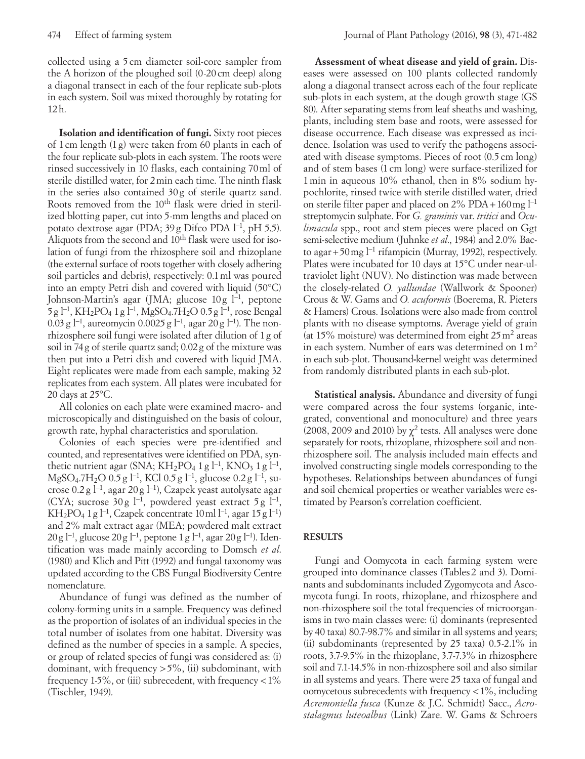collected using a 5 cm diameter soil-core sampler from the A horizon of the ploughed soil (0-20 cm deep) along a diagonal transect in each of the four replicate sub-plots in each system. Soil was mixed thoroughly by rotating for 12h.

**Isolation and identification of fungi.** Sixty root pieces of 1cm length (1g) were taken from 60 plants in each of the four replicate sub-plots in each system. The roots were rinsed successively in 10 flasks, each containing 70ml of sterile distilled water, for 2min each time. The ninth flask in the series also contained 30g of sterile quartz sand. Roots removed from the 10<sup>th</sup> flask were dried in sterilized blotting paper, cut into 5-mm lengths and placed on potato dextrose agar (PDA; 39g Difco PDA l−1, pH 5.5). Aliquots from the second and 10<sup>th</sup> flask were used for isolation of fungi from the rhizosphere soil and rhizoplane (the external surface of roots together with closely adhering soil particles and debris), respectively: 0.1ml was poured into an empty Petri dish and covered with liquid (50°C) Johnson-Martin's agar (JMA; glucose 10g l−1, peptone 5g l−1, KH2PO4 1g l−1, MgSO4.7H2O 0.5g l−1, rose Bengal 0.03 g l<sup>-1</sup>, aureomycin 0.0025 g l<sup>-1</sup>, agar 20 g l<sup>-1</sup>). The nonrhizosphere soil fungi were isolated after dilution of 1g of soil in 74g of sterile quartz sand; 0.02g of the mixture was then put into a Petri dish and covered with liquid JMA. Eight replicates were made from each sample, making 32 replicates from each system. All plates were incubated for 20 days at 25°C.

All colonies on each plate were examined macro- and microscopically and distinguished on the basis of colour, growth rate, hyphal characteristics and sporulation.

Colonies of each species were pre-identified and counted, and representatives were identified on PDA, synthetic nutrient agar (SNA; KH<sub>2</sub>PO<sub>4</sub> 1 g l<sup>-1</sup>, KNO<sub>3</sub> 1 g l<sup>-1</sup>, MgSO<sub>4</sub>.7H<sub>2</sub>O 0.5 g l<sup>-1</sup>, KCl 0.5 g l<sup>-1</sup>, glucose 0.2 g l<sup>-1</sup>, sucrose 0.2 g l−1, agar 20 g l−1), Czapek yeast autolysate agar (CYA; sucrose 30 g  $l^{-1}$ , powdered yeast extract 5 g  $l^{-1}$ , KH2PO4 1g l−1, Czapek concentrate 10ml l−1, agar 15g l−1) and 2% malt extract agar (MEA; powdered malt extract 20g l<sup>-1</sup>, glucose 20g l<sup>-1</sup>, peptone 1g l<sup>-1</sup>, agar 20g l<sup>-1</sup>). Identification was made mainly according to Domsch *et al*. (1980) and Klich and Pitt (1992) and fungal taxonomy was updated according to the CBS Fungal Biodiversity Centre nomenclature.

Abundance of fungi was defined as the number of colony-forming units in a sample. Frequency was defined as the proportion of isolates of an individual species in the total number of isolates from one habitat. Diversity was defined as the number of species in a sample. A species, or group of related species of fungi was considered as: (i) dominant, with frequency >5%, (ii) subdominant, with frequency 1-5%, or (iii) subrecedent, with frequency  $< 1\%$ (Tischler, 1949).

**Assessment of wheat disease and yield of grain.** Diseases were assessed on 100 plants collected randomly along a diagonal transect across each of the four replicate sub-plots in each system, at the dough growth stage (GS 80). After separating stems from leaf sheaths and washing, plants, including stem base and roots, were assessed for disease occurrence. Each disease was expressed as incidence. Isolation was used to verify the pathogens associated with disease symptoms. Pieces of root (0.5 cm long) and of stem bases (1 cm long) were surface-sterilized for 1min in aqueous 10% ethanol, then in 8% sodium hypochlorite, rinsed twice with sterile distilled water, dried on sterile filter paper and placed on 2% PDA + 160 mg l<sup>−1</sup> streptomycin sulphate. For *G. graminis* var. *tritici* and *Oculimacula* spp., root and stem pieces were placed on Ggt semi-selective medium (Juhnke *et al*., 1984) and 2.0% Bacto agar+50mg l−1 rifampicin (Murray, 1992), respectively. Plates were incubated for 10 days at 15°C under near-ultraviolet light (NUV). No distinction was made between the closely-related *O. yallundae* (Wallwork & Spooner) Crous & W. Gams and *O. acuformis* (Boerema, R. Pieters & Hamers) Crous. Isolations were also made from control plants with no disease symptoms. Average yield of grain (at 15% moisture) was determined from eight 25m2 areas in each system. Number of ears was determined on  $1 \text{ m}^2$ in each sub-plot. Thousand**-**kernel weight was determined from randomly distributed plants in each sub-plot.

**Statistical analysis.** Abundance and diversity of fungi were compared across the four systems (organic, integrated, conventional and monoculture) and three years (2008, 2009 and 2010) by  $\chi^2$  tests. All analyses were done separately for roots, rhizoplane, rhizosphere soil and nonrhizosphere soil. The analysis included main effects and involved constructing single models corresponding to the hypotheses. Relationships between abundances of fungi and soil chemical properties or weather variables were estimated by Pearson's correlation coefficient.

# **RESULTS**

Fungi and Oomycota in each farming system were grouped into dominance classes (Tables 2 and 3). Dominants and subdominants included Zygomycota and Ascomycota fungi. In roots, rhizoplane, and rhizosphere and non-rhizosphere soil the total frequencies of microorganisms in two main classes were: (i) dominants (represented by 40 taxa) 80.7-98.7% and similar in all systems and years; (ii) subdominants (represented by 25 taxa) 0.5-2.1% in roots, 3.7-9.5% in the rhizoplane, 3.7-7.3% in rhizosphere soil and 7.1-14.5% in non-rhizosphere soil and also similar in all systems and years. There were 25 taxa of fungal and oomycetous subrecedents with frequency <1%, including *Acremoniella fusca* (Kunze & J.C. Schmidt) Sacc., *Acrostalagmus luteoalbus* (Link) Zare. W. Gams & Schroers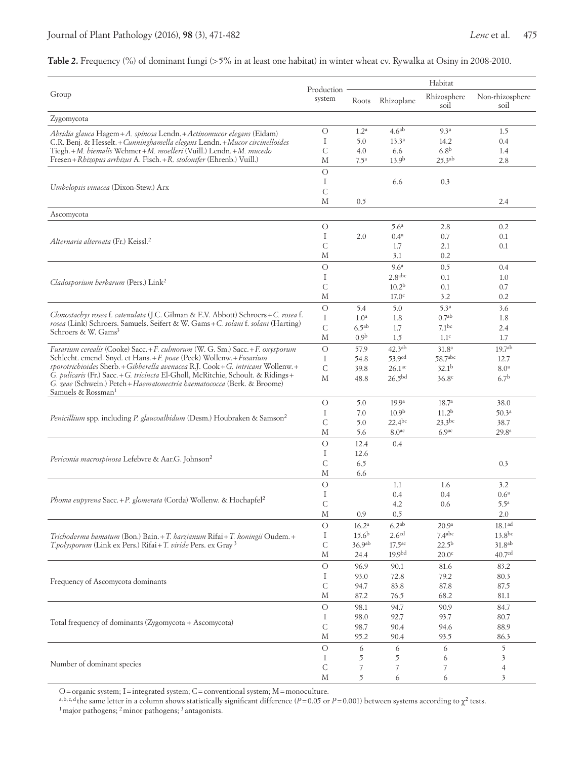### **Table 2.** Frequency (%) of dominant fungi (>5% in at least one habitat) in winter wheat cv. Rywalka at Osiny in 2008-2010.

|                                                                                                                                                                                                |                      | Habitat           |                                |                              |                          |
|------------------------------------------------------------------------------------------------------------------------------------------------------------------------------------------------|----------------------|-------------------|--------------------------------|------------------------------|--------------------------|
| Group                                                                                                                                                                                          | Production<br>system | Roots             | Rhizoplane                     | Rhizosphere<br>soil          | Non-rhizosphere<br>soil  |
| Zygomycota                                                                                                                                                                                     |                      |                   |                                |                              |                          |
| Absidia glauca Hagem+A. spinosa Lendn.+Actinomucor elegans (Eidam)                                                                                                                             | $\bigcirc$           | 1.2 <sup>a</sup>  | 4.6 <sup>ab</sup>              | 9.3 <sup>a</sup>             | 1.5                      |
| C.R. Benj. & Hesselt. + Cunninghamella elegans Lendn. + Mucor circinelloides                                                                                                                   | Ι                    | 5.0               | $13.3^a$                       | 14.2                         | 0.4                      |
| Tiegh.+M. hiemalis Wehmer+M. moelleri (Vuill.) Lendn.+M. mucedo                                                                                                                                | C                    | 4.0               | 6.6                            | 6.8 <sup>b</sup>             | 1.4                      |
| Fresen + Rhizopus arrhizus A. Fisch. + R. stolonifer (Ehrenb.) Vuill.)                                                                                                                         | М                    | 7.5 <sup>a</sup>  | 13.9 <sup>b</sup>              | $25.3^{ab}$                  | 2.8                      |
|                                                                                                                                                                                                | $\bigcirc$           |                   |                                |                              |                          |
| Umbelopsis vinacea (Dixon-Stew.) Arx                                                                                                                                                           | Ι<br>C               |                   | 6.6                            | 0.3                          |                          |
|                                                                                                                                                                                                | М                    | 0.5               |                                |                              | 2.4                      |
| Ascomycota                                                                                                                                                                                     |                      |                   |                                |                              |                          |
|                                                                                                                                                                                                | $\bigcirc$           |                   | 5.6 <sup>a</sup>               | 2.8                          | 0.2                      |
|                                                                                                                                                                                                | Ι                    | 2.0               | 0.4 <sup>a</sup>               | 0.7                          | 0.1                      |
| Alternaria alternata (Fr.) Keissl. <sup>2</sup>                                                                                                                                                | $\mathsf C$          |                   | 1.7                            | 2.1                          | 0.1                      |
|                                                                                                                                                                                                | М                    |                   | 3.1                            | 0.2                          |                          |
|                                                                                                                                                                                                | $\bigcirc$           |                   | 9.6 <sup>a</sup>               | 0.5                          | 0.4                      |
| Cladosporium herbarum (Pers.) Link <sup>2</sup>                                                                                                                                                | Ι                    |                   | 2.8 <sup>abc</sup>             | 0.1                          | 1.0                      |
|                                                                                                                                                                                                | $\mathsf C$          |                   | 10.2 <sup>b</sup>              | 0.1                          | 0.7                      |
|                                                                                                                                                                                                | М                    |                   | 17.0 <sup>c</sup>              | 3.2                          | 0.2                      |
| Clonostachys rosea f. catenulata (J.C. Gilman & E.V. Abbott) Schroers+C. rosea f.                                                                                                              | $\circ$              | 5.4               | 5.0                            | 5.3 <sup>a</sup>             | 3.6                      |
| rosea (Link) Schroers. Samuels. Seifert & W. Gams+C. solani f. solani (Harting)                                                                                                                | Ι                    | 1.0 <sup>a</sup>  | 1.8                            | 0.7 <sup>ab</sup>            | 1.8                      |
| Schroers & W. Gams <sup>3</sup>                                                                                                                                                                | $\mathsf{C}$         | 6.5 <sup>ab</sup> | 1.7                            | 7.1 <sup>bc</sup>            | 2.4                      |
|                                                                                                                                                                                                | М<br>$\bigcirc$      | 0.9 <sup>b</sup>  | 1.5                            | 1.1 <sup>c</sup>             | 1.7                      |
| Fusarium cerealis (Cooke) Sacc.+F. culmorum (W. G. Sm.) Sacc.+F. oxysporum                                                                                                                     |                      | 57.9              | $42.3^{ab}$                    | 31.8 <sup>a</sup><br>58.7abc | 19.7 <sup>ab</sup>       |
| Schlecht. emend. Snyd. et Hans. + F. poae (Peck) Wollenw. + Fusarium<br>sporotrichioides Sherb. + Gibberella avenacea R.J. Cook + G. intricans Wollenw. +                                      | Ι.<br>$\mathsf C$    | 54.8<br>39.8      | 53.9cd<br>$26.1$ <sup>ac</sup> | 32.1 <sup>b</sup>            | 12.7<br>8.0 <sup>a</sup> |
| G. pulicaris (Fr.) Sacc. + G. tricincta El-Gholl, McRitchie, Schoult. & Ridings +<br>G. zeae (Schwein.) Petch + Haematonectria haematococca (Berk. & Broome)<br>Samuels & Rossman <sup>1</sup> | М                    | 48.8              | 26.5 <sup>bd</sup>             | 36.8 <sup>c</sup>            | 6.7 <sup>b</sup>         |
|                                                                                                                                                                                                | $\circ$              | 5.0               | 19.9 <sup>a</sup>              | 18.7 <sup>a</sup>            | 38.0                     |
| <i>Penicillium</i> spp. including <i>P. glaucoalbidum</i> (Desm.) Houbraken & Samson <sup>2</sup>                                                                                              | Ι                    | 7.0               | 10.9 <sup>b</sup>              | 11.2 <sup>b</sup>            | 50.3 <sup>a</sup>        |
|                                                                                                                                                                                                | $\mathsf{C}$         | 5.0               | $22.4^{bc}$                    | $23.3$ bc                    | 38.7                     |
|                                                                                                                                                                                                | М                    | 5.6               | 8.0 <sup>ac</sup>              | 6.9 <sup>ac</sup>            | 29.8 <sup>a</sup>        |
|                                                                                                                                                                                                | $\circ$              | 12.4              | 0.4                            |                              |                          |
| Periconia macrospinosa Lefebvre & Aar.G. Johnson <sup>2</sup>                                                                                                                                  | Ι<br>C               | 12.6<br>6.5       |                                |                              |                          |
|                                                                                                                                                                                                | М                    | 6.6               |                                |                              | 0.3                      |
|                                                                                                                                                                                                | $\circ$              |                   | 1.1                            | 1.6                          | 3.2                      |
|                                                                                                                                                                                                | I                    |                   | 0.4                            | 0.4                          | 0.6 <sup>a</sup>         |
| Phoma eupyrena Sacc.+P. glomerata (Corda) Wollenw. & Hochapfel <sup>2</sup>                                                                                                                    | С                    |                   | 4.2                            | 0.6                          | $5.5^{\mathrm{a}}$       |
|                                                                                                                                                                                                | М                    | 0.9               | 0.5                            |                              | 2.0                      |
|                                                                                                                                                                                                | $\circ$              | 16.2 <sup>a</sup> | 6.2 <sup>ab</sup>              | 20.9 <sup>a</sup>            | 18.1 <sup>ad</sup>       |
| Trichoderma hamatum (Bon.) Bain. + T. harzianum Rifai + T. koningii Oudem. +                                                                                                                   | Ι                    | 15.6 <sup>b</sup> | 2.6 <sup>cd</sup>              | 7.4 <sup>abc</sup>           | $13.8^{bc}$              |
| T.polysporum (Link ex Pers.) Rifai + T. viride Pers. ex Gray <sup>3</sup>                                                                                                                      | $\mathsf C$          | 36.9ab            | 17.5 <sup>ac</sup>             | $22.5^{\rm b}$               | 31.8 <sup>ab</sup>       |
|                                                                                                                                                                                                | M                    | 24.4              | 19.9 <sup>bd</sup>             | 20.0 <sup>c</sup>            | 40.7 <sup>cd</sup>       |
|                                                                                                                                                                                                | $\bigcirc$<br>Ι      | 96.9              | 90.1                           | 81.6                         | 83.2                     |
| Frequency of Ascomycota dominants                                                                                                                                                              |                      | 93.0<br>94.7      | 72.8<br>83.8                   | 79.2<br>87.8                 | 80.3<br>87.5             |
|                                                                                                                                                                                                |                      | 87.2              | 76.5                           | 68.2                         | 81.1                     |
|                                                                                                                                                                                                | М<br>$\bigcirc$      | 98.1              | 94.7                           | 90.9                         | 84.7                     |
|                                                                                                                                                                                                | Ι                    | 98.0              | 92.7                           | 93.7                         | 80.7                     |
| Total frequency of dominants (Zygomycota + Ascomycota)                                                                                                                                         |                      | 98.7              | 90.4                           | 94.6                         | 88.9                     |
|                                                                                                                                                                                                | C<br>M               | 95.2              | 90.4                           | 93.5                         | 86.3                     |
|                                                                                                                                                                                                | $\circ$              | 6                 | 6                              | 6                            | 5                        |
|                                                                                                                                                                                                | Ι.                   | 5                 | 5                              | 6                            | 3                        |
| Number of dominant species                                                                                                                                                                     | $\mathsf C$<br>M     | 7                 | 7                              |                              | $\overline{4}$           |
|                                                                                                                                                                                                |                      | 5                 | 6                              | 6                            | 3                        |

O = organic system; I = integrated system; C = conventional system; M = monoculture.<br>a,b,c,d<sub>the</sub> same letter in a column shows statistically significant difference (*P* = 0.05 or *P* = 0.001) between systems according to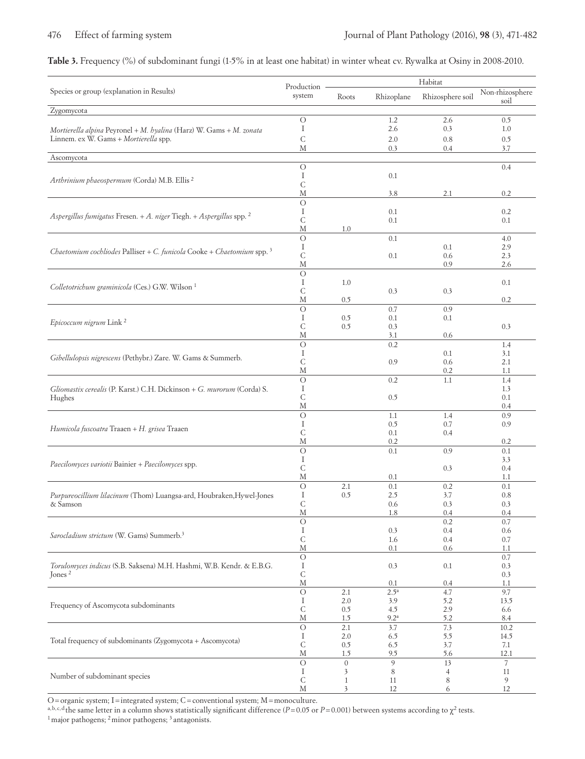# **Table 3.** Frequency (%) of subdominant fungi (1-5% in at least one habitat) in winter wheat cv. Rywalka at Osiny in 2008-2010.

|                                                                                                              |                      |                         | Habitat                 |                     |                         |  |
|--------------------------------------------------------------------------------------------------------------|----------------------|-------------------------|-------------------------|---------------------|-------------------------|--|
| Species or group (explanation in Results)                                                                    | Production<br>system | Roots                   | Rhizoplane              | Rhizosphere soil    | Non-rhizosphere<br>soil |  |
| Zygomycota                                                                                                   |                      |                         |                         |                     |                         |  |
|                                                                                                              | $\circ$<br>Ι         |                         | 1.2<br>2.6              | 2.6<br>0.3          | 0.5<br>1.0              |  |
| Mortierella alpina Peyronel + M. hyalina (Harz) W. Gams + M. zonata<br>Linnem. ex W. Gams + Mortierella spp. | С                    |                         | 2.0                     |                     |                         |  |
|                                                                                                              | М                    |                         | 0.3                     | 0.8<br>0.4          | 0.5<br>3.7              |  |
| Ascomycota                                                                                                   |                      |                         |                         |                     |                         |  |
|                                                                                                              | $\bigcirc$           |                         |                         |                     | 0.4                     |  |
| Arthrinium phaeospermum (Corda) M.B. Ellis <sup>2</sup>                                                      | Ι<br>С               |                         | 0.1                     |                     |                         |  |
|                                                                                                              | М                    |                         | 3.8                     | 2.1                 | 0.2                     |  |
|                                                                                                              | $\circ$              |                         |                         |                     |                         |  |
| Aspergillus fumigatus Fresen. + A. niger Tiegh. + Aspergillus spp. 2                                         | Ι                    |                         | 0.1                     |                     | 0.2                     |  |
|                                                                                                              | С<br>М               | 1.0                     | 0.1                     |                     | 0.1                     |  |
|                                                                                                              | $\circ$              |                         | 0.1                     |                     | 4.0                     |  |
|                                                                                                              | Ι                    |                         |                         | 0.1                 | 2.9                     |  |
| Chaetomium cochliodes Palliser + C. funicola Cooke + Chaetomium spp. $3$                                     | С                    |                         | 0.1                     | 0.6                 | 2.3                     |  |
|                                                                                                              | М                    |                         |                         | 0.9                 | 2.6                     |  |
|                                                                                                              | $\circ$<br>Ι         | 1.0                     |                         |                     | 0.1                     |  |
| Colletotrichum graminicola (Ces.) G.W. Wilson <sup>1</sup>                                                   | С                    |                         | 0.3                     | 0.3                 |                         |  |
|                                                                                                              | М                    | 0.5                     |                         |                     | 0.2                     |  |
|                                                                                                              | $\circ$              |                         | 0.7                     | 0.9                 |                         |  |
| Epicoccum nigrum Link <sup>2</sup>                                                                           | Ι<br>С               | 0.5<br>0.5              | 0.1<br>0.3              | 0.1                 | 0.3                     |  |
|                                                                                                              | М                    |                         | 3.1                     | 0.6                 |                         |  |
|                                                                                                              | $\circ$              |                         | 0.2                     |                     | 1.4                     |  |
| Gibellulopsis nigrescens (Pethybr.) Zare. W. Gams & Summerb.                                                 | Ι                    |                         |                         | 0.1                 | 3.1                     |  |
|                                                                                                              | С<br>М               |                         | 0.9                     | 0.6<br>0.2          | 2.1<br>1.1              |  |
|                                                                                                              | $\circ$              |                         | 0.2                     | 1.1                 | 1.4                     |  |
| Gliomastix cerealis (P. Karst.) C.H. Dickinson + G. murorum (Corda) S.                                       | Ι                    |                         |                         |                     | 1.3                     |  |
| Hughes                                                                                                       | С                    |                         | 0.5                     |                     | 0.1                     |  |
|                                                                                                              | М<br>$\circ$         |                         | 1.1                     | 1.4                 | 0.4<br>0.9              |  |
|                                                                                                              | Ι                    |                         | 0.5                     | 0.7                 | 0.9                     |  |
| Humicola fuscoatra Traaen + H. grisea Traaen                                                                 | С                    |                         | 0.1                     | 0.4                 |                         |  |
|                                                                                                              | М                    |                         | 0.2                     |                     | 0.2                     |  |
|                                                                                                              | $\circ$<br>Ι         |                         | 0.1                     | 0.9                 | 0.1<br>3.3              |  |
| Paecilomyces variotii Bainier + Paecilomyces spp.                                                            | С                    |                         |                         | 0.3                 | 0.4                     |  |
|                                                                                                              | М                    |                         | 0.1                     |                     | 1.1                     |  |
|                                                                                                              | $\circ$              | 2.1                     | 0.1                     | 0.2                 | 0.1                     |  |
| Purpureocillium lilacinum (Thom) Luangsa-ard, Houbraken, Hywel-Jones                                         | Ι<br>С               | 0.5                     | 2.5<br>0.6              | 3.7<br>0.3          | 0.8<br>0.3              |  |
| & Samson                                                                                                     | M                    |                         | 1.8                     | 0.4                 | 0.4                     |  |
|                                                                                                              | $\circ$              |                         |                         | 0.2                 | 0.7                     |  |
| Sarocladium strictum (W. Gams) Summerb. <sup>3</sup>                                                         | Ι                    |                         | 0.3                     | 0.4                 | 0.6                     |  |
|                                                                                                              | $\mathsf C$<br>М     |                         | 1.6<br>0.1              | 0.4<br>0.6          | 0.7<br>1.1              |  |
|                                                                                                              | $\circ$              |                         |                         |                     | 0.7                     |  |
| Torulomyces indicus (S.B. Saksena) M.H. Hashmi, W.B. Kendr. & E.B.G.                                         | Ι                    |                         | 0.3                     | $0.1\,$             | 0.3                     |  |
| Jones <sup><math>2</math></sup>                                                                              | $\mathsf C$          |                         |                         |                     | 0.3                     |  |
|                                                                                                              | М<br>$\bigcirc$      | 2.1                     | 0.1<br>2.5 <sup>a</sup> | 0.4<br>4.7          | 1.1<br>9.7              |  |
|                                                                                                              | Ι                    | $2.0\,$                 | 3.9                     | 5.2                 | 13.5                    |  |
| Frequency of Ascomycota subdominants                                                                         | С                    | $0.5\,$                 | 4.5                     | 2.9                 | 6.6                     |  |
|                                                                                                              | М                    | 1.5                     | $9.2^{\rm a}$           | 5.2                 | 8.4                     |  |
|                                                                                                              | $\bigcirc$<br>Ι      | 2.1<br>$2.0\,$          | 3.7<br>6.5              | 7.3<br>5.5          | 10.2<br>14.5            |  |
| Total frequency of subdominants (Zygomycota + Ascomycota)                                                    | С                    | 0.5                     | 6.5                     | 3.7                 | 7.1                     |  |
|                                                                                                              | $\mathbf M$          | 1.5                     | 9.5                     | 5.6                 | 12.1                    |  |
|                                                                                                              | $\circ$              | $\boldsymbol{0}$        | 9                       | 13                  | 7                       |  |
| Number of subdominant species                                                                                | Ι<br>С               | 3<br>$\mathbf{1}$       | 8<br>11                 | $\overline{4}$<br>8 | 11<br>9                 |  |
|                                                                                                              | $\mathbf M$          | $\overline{\mathbf{3}}$ | 12                      | 6                   | $12\,$                  |  |

O=organic system; I=integrated system; C=conventional system; M=monoculture.<br>a,b,c,d<sub>the</sub> same letter in a column shows statistically significant difference (P=0.05 or P=0.001) between systems according to  $\chi^2$  tests.<br><sup></sup>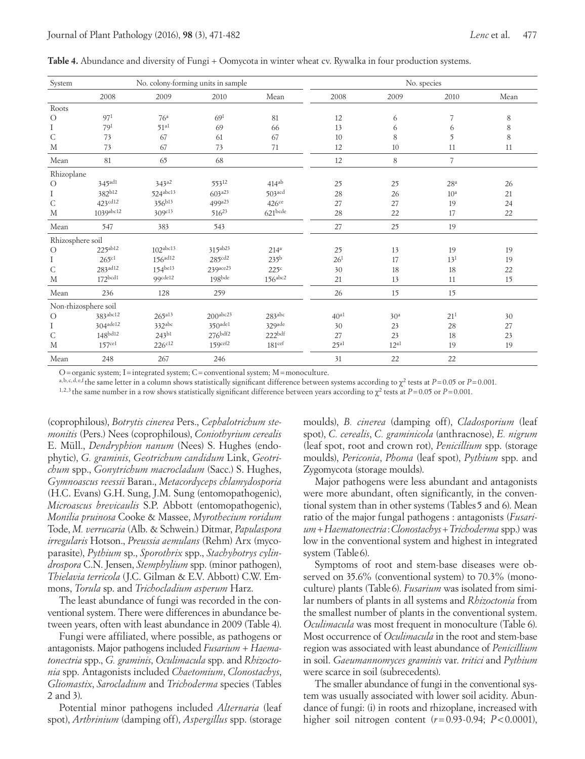| System           |                       | No. colony-forming units in sample |                      |                      |                  | No. species     |                 |             |  |
|------------------|-----------------------|------------------------------------|----------------------|----------------------|------------------|-----------------|-----------------|-------------|--|
|                  | 2008                  | 2009                               | 2010                 | Mean                 | 2008             | 2009            | 2010            | Mean        |  |
| Roots            |                       |                                    |                      |                      |                  |                 |                 |             |  |
| $\circ$          | 97 <sup>1</sup>       | 76 <sup>a</sup>                    | 69 <sup>1</sup>      | 81                   | 12               | 6               | 7               | 8           |  |
| Ι                | 79 <sup>1</sup>       | 51 <sup>al</sup>                   | 69                   | 66                   | 13               | 6               | 6               | $\,$ 8 $\,$ |  |
| $\mathsf{C}$     | 73                    | 67                                 | 61                   | 67                   | 10               | 8               | 5               | 8           |  |
| M                | 73                    | 67                                 | 73                   | 71                   | 12               | 10              | 11              | 11          |  |
| Mean             | 81                    | 65                                 | 68                   |                      | 12               | 8               | $\overline{7}$  |             |  |
| Rhizoplane       |                       |                                    |                      |                      |                  |                 |                 |             |  |
| $\circ$          | $345$ <sup>ad1</sup>  | $343^{a2}$                         | 55312                | $414^{ab}$           | 25               | 25              | 28 <sup>a</sup> | 26          |  |
| Ι                | 382b12                | 524abc13                           | $603^{a23}$          | $503$ <sub>acd</sub> | 28               | 26              | 10 <sup>a</sup> | 21          |  |
| $\mathsf{C}$     | 423cd12               | 356b13                             | 499a23               | $426$ ce             | 27               | 27              | 19              | 24          |  |
| M                | 1039abc12             | 309c13                             | $516^{23}$           | $621$ bcde           | 28               | 22              | 17              | 22          |  |
| Mean             | 547                   | 383                                | 543                  |                      | 27               | 25              | 19              |             |  |
| Rhizosphere soil |                       |                                    |                      |                      |                  |                 |                 |             |  |
| $\circ$          | 225ab12               | 102 <sup>abc13</sup>               | 315ab23              | 214 <sup>a</sup>     | 25               | 13              | 19              | 19          |  |
| Ι                | 265c1                 | 156 <sup>ad12</sup>                | 285 <sup>cd2</sup>   | 235 <sup>b</sup>     | 26 <sup>1</sup>  | 17              | 13 <sup>1</sup> | 19          |  |
| $\mathsf C$      | $283$ <sup>ad12</sup> | $154^{bel3}$                       | 239ace23             | 225c                 | 30               | 18              | 18              | 22          |  |
| M                | 172 <sup>bcd1</sup>   | 99cde12                            | $198$ bde            | $156a^{bc2}$         | 21               | 13              | 11              | 15          |  |
| Mean             | 236                   | 128                                | 259                  |                      | 26               | 15              | 15              |             |  |
|                  | Non-rhizosphere soil  |                                    |                      |                      |                  |                 |                 |             |  |
| $\circ$          | 383abc12              | $265^{a13}$                        | 200 <sup>abc23</sup> | 283abc               | $40^{a1}$        | 30 <sup>a</sup> | 21 <sup>1</sup> | 30          |  |
| Ι                | 304ade12              | 332abc                             | $350$ ade1           | 329ade               | 30               | 23              | 28              | 27          |  |
| $\mathsf{C}$     | 148bd12               | 243b1                              | $276$ bdf2           | 222 <sub>bdf</sub>   | 27               | 23              | 18              | 23          |  |
| M                | 157 <sup>ce1</sup>    | $226^{c12}$                        | 159cef2              | 181 <sup>ccf</sup>   | 25 <sup>al</sup> | $12^{a1}$       | 19              | 19          |  |
| Mean             | 248                   | 267                                | 246                  |                      | 31               | 22              | 22              |             |  |

Table 4. Abundance and diversity of Fungi + Oomycota in winter wheat cv. Rywalka in four production systems.

O=organic system; I=integrated system; C=conventional system; M=monoculture.

a,b, c, d, e,f the same letter in a column shows statistically significant difference between systems according to  $\chi^2$  tests at *P*=0.05 or *P*=0.001.

<sup>1,2,3</sup> the same number in a row shows statistically significant difference between years according to  $\chi^2$  tests at *P*=0.05 or *P*=0.001.

(coprophilous), *Botrytis cinerea* Pers., *Cephalotrichum stemonitis* (Pers.) Nees (coprophilous), *Coniothyrium cerealis* E. Müll., *Dendryphion nanum* (Nees) S. Hughes (endophytic), *G. graminis*, *Geotrichum candidum* Link, *Geotrichum* spp., *Gonytrichum macrocladum* (Sacc.) S. Hughes, *Gymnoascus reessii* Baran., *Metacordyceps chlamydosporia*  (H.C. Evans) G.H. Sung, J.M. Sung (entomopathogenic), *Microascus brevicaulis* S.P. Abbott (entomopathogenic), *Monilia pruinosa* Cooke & Massee, *Myrothecium roridum*  Tode, *M. verrucaria* (Alb. & Schwein.) Ditmar, *Papulaspora irregularis* Hotson., *Preussia aemulans* (Rehm) Arx (mycoparasite), *Pythium* sp., *Sporothrix* spp., *Stachybotrys cylindrospora* C.N. Jensen, *Stemphylium* spp. (minor pathogen), *Thielavia terricola* (J.C. Gilman & E.V. Abbott) C.W. Emmons, *Torula* sp. and *Trichocladium asperum* Harz.

The least abundance of fungi was recorded in the conventional system. There were differences in abundance between years, often with least abundance in 2009 (Table 4).

Fungi were affiliated, where possible, as pathogens or antagonists. Major pathogens included *Fusarium + Haematonectria* spp., *G. graminis*, *Oculimacula* spp. and *Rhizoctonia* spp. Antagonists included *Chaetomium*, *Clonostachys*, *Gliomastix*, *Sarocladium* and *Trichoderma* species (Tables 2 and 3).

Potential minor pathogens included *Alternaria* (leaf spot), *Arthrinium* (damping off), *Aspergillus* spp. (storage

moulds), *B. cinerea* (damping off), *Cladosporium* (leaf spot), *C. cerealis*, *C. graminicola* (anthracnose), *E. nigrum*  (leaf spot, root and crown rot), *Penicillium* spp. (storage moulds), *Periconia*, *Phoma* (leaf spot), *Pythium* spp. and Zygomycota (storage moulds).

Major pathogens were less abundant and antagonists were more abundant, often significantly, in the conventional system than in other systems (Tables5 and 6). Mean ratio of the major fungal pathogens : antagonists (*Fusarium+Haematonectria*:*Clonostachys*+*Trichoderma* spp.) was low in the conventional system and highest in integrated system (Table6).

Symptoms of root and stem-base diseases were observed on 35.6% (conventional system) to 70.3% (monoculture) plants (Table6). *Fusarium* was isolated from similar numbers of plants in all systems and *Rhizoctonia* from the smallest number of plants in the conventional system. *Oculimacula* was most frequent in monoculture (Table 6). Most occurrence of *Oculimacula* in the root and stem-base region was associated with least abundance of *Penicillium* in soil. *Gaeumannomyces graminis* var. *tritici* and *Pythium* were scarce in soil (subrecedents).

The smaller abundance of fungi in the conventional system was usually associated with lower soil acidity. Abundance of fungi: (i) in roots and rhizoplane, increased with higher soil nitrogen content (*r*=0.93-0.94; *P*<0.0001),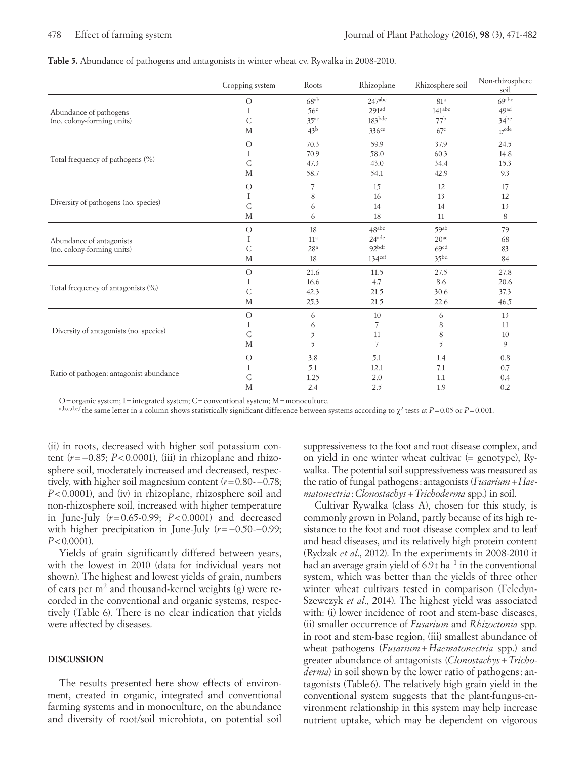**Table 5.** Abundance of pathogens and antagonists in winter wheat cv. Rywalka in 2008-2010.

|                                         | Cropping system | Roots            | Rhizoplane         | Rhizosphere soil | Non-rhizosphere<br>soil |
|-----------------------------------------|-----------------|------------------|--------------------|------------------|-------------------------|
|                                         | $\circ$         | 68ab             | $247$ abc          | 81 <sup>a</sup>  | 69abc                   |
| Abundance of pathogens                  | Ι               | 56 <sup>c</sup>  | 291 <sup>ad</sup>  | $141^{\rm abc}$  | 49ad                    |
| (no. colony-forming units)              | $\mathsf{C}$    | 35 <sup>ac</sup> | $183$ bde          | 77 <sup>b</sup>  | $34$ be                 |
|                                         | M               | 43 <sup>b</sup>  | $336$ ce           | 67 <sup>c</sup>  | $17^{\text{cde}}$       |
|                                         | $\overline{O}$  | 70.3             | 59.9               | 37.9             | 24.5                    |
|                                         | Ι               | 70.9             | 58.0               | 60.3             | 14.8                    |
| Total frequency of pathogens (%)        | $\mathsf{C}$    | 47.3             | 43.0               | 34.4             | 15.3                    |
|                                         | M               | 58.7             | 54.1               | 42.9             | 9.3                     |
|                                         | $\bigcirc$      | 7                | 15                 | 12               | 17                      |
|                                         | Ι               | 8                | 16                 | 13               | 12                      |
| Diversity of pathogens (no. species)    | $\mathsf{C}$    | 6                | 14                 | 14               | 13                      |
|                                         | M               | 6                | 18                 | 11               | 8                       |
|                                         | $\bigcirc$      | 18               | 48abc              | 59ab             | 79                      |
| Abundance of antagonists                | Ι               | 11 <sup>a</sup>  | $24$ ade           | 20 <sup>ac</sup> | 68                      |
| (no. colony-forming units)              | C               | 28 <sup>a</sup>  | 92bdf              | 69cd             | 83                      |
|                                         | M               | 18               | 134 <sup>cef</sup> | 35 <sub>bd</sub> | 84                      |
|                                         | $\bigcirc$      | 21.6             | 11.5               | 27.5             | 27.8                    |
|                                         | Ι               | 16.6             | 4.7                | 8.6              | 20.6                    |
| Total frequency of antagonists (%)      | C               | 42.3             | 21.5               | 30.6             | 37.3                    |
|                                         | M               | 25.3             | 21.5               | 22.6             | 46.5                    |
|                                         | $\circ$         | 6                | 10                 | 6                | 13                      |
|                                         | Ι               | 6                | 7                  | 8                | 11                      |
| Diversity of antagonists (no. species)  | C               | 5                | 11                 | 8                | 10                      |
|                                         | M               | 5                | 7                  | 5                | 9                       |
|                                         | $\circ$         | 3.8              | 5.1                | 1.4              | 0.8                     |
|                                         | Ι               | 5.1              | 12.1               | 7.1              | 0.7                     |
| Ratio of pathogen: antagonist abundance | C               | 1.25             | 2.0                | 1.1              | 0.4                     |
|                                         | M               | 2.4              | 2.5                | 1.9              | 0.2                     |

O=organic system; I=integrated system; C=conventional system; M=monoculture.

a,b,c,d,e,f the same letter in a column shows statistically significant difference between systems according to  $\chi^2$  tests at *P*=0.05 or *P*=0.001.

(ii) in roots, decreased with higher soil potassium content (*r*=−0.85; *P*<0.0001), (iii) in rhizoplane and rhizosphere soil, moderately increased and decreased, respectively, with higher soil magnesium content (*r*=0.80-−0.78; *P*<0.0001), and (iv) in rhizoplane, rhizosphere soil and non-rhizosphere soil, increased with higher temperature in June-July (*r*=0.65-0.99; *P*<0.0001) and decreased with higher precipitation in June-July (*r*=−0.50-−0.99; *P*<0.0001).

Yields of grain significantly differed between years, with the lowest in 2010 (data for individual years not shown). The highest and lowest yields of grain, numbers of ears per m2 and thousand-kernel weights (g) were recorded in the conventional and organic systems, respectively (Table 6). There is no clear indication that yields were affected by diseases.

### **DISCUSSION**

The results presented here show effects of environment, created in organic, integrated and conventional farming systems and in monoculture, on the abundance and diversity of root/soil microbiota, on potential soil suppressiveness to the foot and root disease complex, and on yield in one winter wheat cultivar (= genotype), Rywalka. The potential soil suppressiveness was measured as the ratio of fungal pathogens:antagonists (*Fusarium+Haematonectria* :*Clonostachys*+*Trichoderma* spp.) in soil.

Cultivar Rywalka (class A), chosen for this study, is commonly grown in Poland, partly because of its high resistance to the foot and root disease complex and to leaf and head diseases, and its relatively high protein content (Rydzak *et al*., 2012). In the experiments in 2008-2010 it had an average grain yield of 6.9t ha−1 in the conventional system, which was better than the yields of three other winter wheat cultivars tested in comparison (Feledyn-Szewczyk *et al*., 2014). The highest yield was associated with: (i) lower incidence of root and stem-base diseases, (ii) smaller occurrence of *Fusarium* and *Rhizoctonia* spp. in root and stem-base region, (iii) smallest abundance of wheat pathogens (*Fusarium+Haematonectria* spp.) and greater abundance of antagonists (*Clonostachys*+*Trichoderma*) in soil shown by the lower ratio of pathogens: antagonists (Table 6). The relatively high grain yield in the conventional system suggests that the plant-fungus-environment relationship in this system may help increase nutrient uptake, which may be dependent on vigorous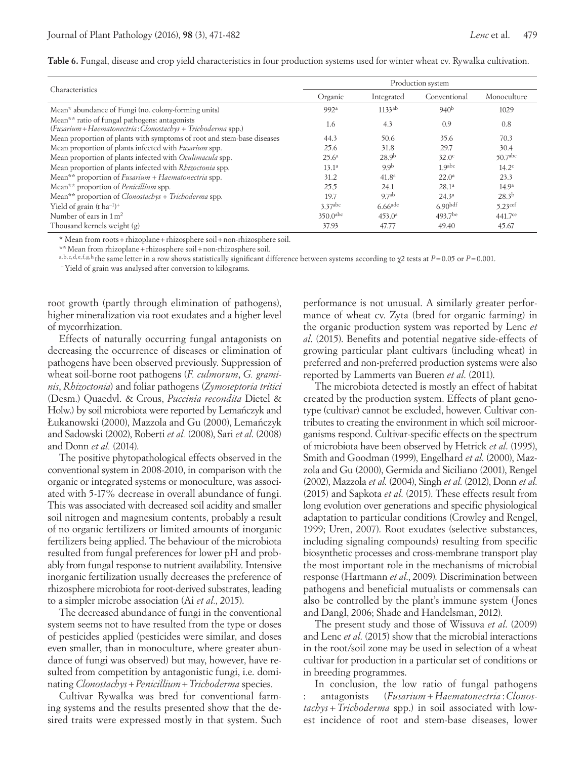**Table 6.** Fungal, disease and crop yield characteristics in four production systems used for winter wheat cv. Rywalka cultivation.

|                                                                                                               | Production system      |                       |                     |                     |  |  |
|---------------------------------------------------------------------------------------------------------------|------------------------|-----------------------|---------------------|---------------------|--|--|
| Characteristics                                                                                               | Organic                | Integrated            | Conventional        | Monoculture         |  |  |
| Mean* abundance of Fungi (no. colony-forming units)                                                           | 992ª                   | 1133 <sup>ab</sup>    | 940 <sup>b</sup>    | 1029                |  |  |
| Mean** ratio of fungal pathogens: antagonists<br>(Fusarium + Haematonectria: Clonostachys + Trichoderma spp.) | 1.6                    | 4.3                   | 0.9                 | 0.8                 |  |  |
| Mean proportion of plants with symptoms of root and stem-base diseases                                        | 44.3                   | 50.6                  | 35.6                | 70.3                |  |  |
| Mean proportion of plants infected with <i>Fusarium</i> spp.                                                  | 25.6                   | 31.8                  | 29.7                | 30.4                |  |  |
| Mean proportion of plants infected with <i>Oculimacula</i> spp.                                               | $25.6^{\rm a}$         | 28.9 <sup>b</sup>     | 32.0 <sup>c</sup>   | 50.7 <sup>abc</sup> |  |  |
| Mean proportion of plants infected with Rhizoctonia spp.                                                      | 13.1 <sup>a</sup>      | 9.9 <sup>b</sup>      | 1 9abc              | 14.2 <sup>c</sup>   |  |  |
| Mean <sup>**</sup> proportion of $Fusarium + Haematonectria$ spp.                                             | 31.2                   | 41.8 <sup>a</sup>     | $22.0^{\rm a}$      | 23.3                |  |  |
| Mean** proportion of <i>Penicillium</i> spp.                                                                  | 25.5                   | 24.1                  | $28.1^{a}$          | 14.9 <sup>a</sup>   |  |  |
| Mean <sup>**</sup> proportion of <i>Clonostachys</i> + <i>Trichoderma</i> spp.                                | 19.7                   | 9.7 <sup>ab</sup>     | $24.3^{\circ}$      | $28.3^{b}$          |  |  |
| Yield of grain $(t \text{ ha}^{-1})^+$                                                                        | 3.37abc                | $6.66$ <sup>ade</sup> | 6.90 <sup>bdf</sup> | 5.23 <sup>cef</sup> |  |  |
| Number of ears in $1 \text{ m}^2$                                                                             | $350.0$ <sup>abc</sup> | 453.0 <sup>a</sup>    | $493.7$ be          | 441.7 <sup>ce</sup> |  |  |
| Thousand kernels weight (g)                                                                                   | 37.93                  | 47.77                 | 49.40               | 45.67               |  |  |

\* Mean from roots+rhizoplane+rhizosphere soil+non-rhizosphere soil.

\*\* Mean from rhizoplane + rhizosphere soil + non-rhizosphere soil.<br>a,b,c,d,e,f,g,h,the same letter in a row shows statistically significant difference between systems according to  $\chi^2$  tests at  $P = 0.05$  or  $P = 0.001$ .<br>

root growth (partly through elimination of pathogens), higher mineralization via root exudates and a higher level of mycorrhization.

Effects of naturally occurring fungal antagonists on decreasing the occurrence of diseases or elimination of pathogens have been observed previously. Suppression of wheat soil-borne root pathogens (*F. culmorum*, *G. graminis*, *Rhizoctonia*) and foliar pathogens (*Zymoseptoria tritici* (Desm.) Quaedvl. & Crous, *Puccinia recondita* Dietel & Holw.) by soil microbiota were reported by Lemanczyk and Łukanowski (2000), Mazzola and Gu (2000), Lemańczyk and Sadowski (2002), Roberti *et al.* (2008), Sari *et al*. (2008) and Donn *et al.* (2014).

The positive phytopathological effects observed in the conventional system in 2008-2010, in comparison with the organic or integrated systems or monoculture, was associated with 5-17% decrease in overall abundance of fungi. This was associated with decreased soil acidity and smaller soil nitrogen and magnesium contents, probably a result of no organic fertilizers or limited amounts of inorganic fertilizers being applied. The behaviour of the microbiota resulted from fungal preferences for lower pH and probably from fungal response to nutrient availability. Intensive inorganic fertilization usually decreases the preference of rhizosphere microbiota for root-derived substrates, leading to a simpler microbe association (Ai *et al.*, 2015).

The decreased abundance of fungi in the conventional system seems not to have resulted from the type or doses of pesticides applied (pesticides were similar, and doses even smaller, than in monoculture, where greater abundance of fungi was observed) but may, however, have resulted from competition by antagonistic fungi, i.e. dominating *Clonostachys*+*Penicillium*+*Trichoderma* species.

Cultivar Rywalka was bred for conventional farming systems and the results presented show that the desired traits were expressed mostly in that system. Such

performance is not unusual. A similarly greater performance of wheat cv. Zyta (bred for organic farming) in the organic production system was reported by Lenc *et al*. (2015). Benefits and potential negative side-effects of growing particular plant cultivars (including wheat) in preferred and non-preferred production systems were also reported by Lammerts van Bueren *et al*. (2011).

The microbiota detected is mostly an effect of habitat created by the production system. Effects of plant genotype (cultivar) cannot be excluded, however. Cultivar contributes to creating the environment in which soil microorganisms respond. Cultivar-specific effects on the spectrum of microbiota have been observed by Hetrick *et al*. (1995), Smith and Goodman (1999), Engelhard *et al*. (2000), Mazzola and Gu (2000), Germida and Siciliano (2001), Rengel (2002), Mazzola *et al*. (2004), Singh *et al*. (2012), Donn *et al*. (2015) and Sapkota *et al*. (2015). These effects result from long evolution over generations and specific physiological adaptation to particular conditions (Crowley and Rengel, 1999; Uren, 2007). Root exudates (selective substances, including signaling compounds) resulting from specific biosynthetic processes and cross-membrane transport play the most important role in the mechanisms of microbial response (Hartmann *et al*., 2009). Discrimination between pathogens and beneficial mutualists or commensals can also be controlled by the plant's immune system (Jones and Dangl, 2006; Shade and Handelsman, 2012).

The present study and those of Wissuva *et al*. (2009) and Lenc *et al*. (2015) show that the microbial interactions in the root/soil zone may be used in selection of a wheat cultivar for production in a particular set of conditions or in breeding programmes.

In conclusion, the low ratio of fungal pathogens : antagonists (*Fusarium+Haematonectria* :*Clonostachys* +*Trichoderma* spp.) in soil associated with lowest incidence of root and stem-base diseases, lower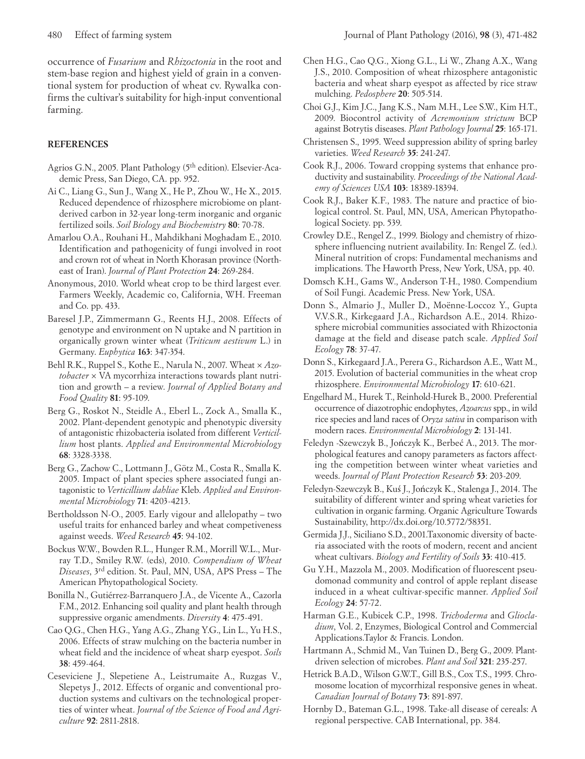occurrence of *Fusarium* and *Rhizoctonia* in the root and stem-base region and highest yield of grain in a conventional system for production of wheat cv. Rywalka confirms the cultivar's suitability for high-input conventional farming.

## **REFERENCES**

- Agrios G.N., 2005. Plant Pathology (5th edition). Elsevier-Academic Press, San Diego, CA. pp. 952.
- Ai C., Liang G., Sun J., Wang X., He P., Zhou W., He X., 2015. Reduced dependence of rhizosphere microbiome on plantderived carbon in 32-year long-term inorganic and organic fertilized soils. *Soil Biology and Biochemistry* **80**: 70-78.
- Amarlou O.A., Rouhani H., Mahdikhani Moghadam E., 2010. Identification and pathogenicity of fungi involved in root and crown rot of wheat in North Khorasan province (Northeast of Iran). *Journal of Plant Protection* **24**: 269-284.
- Anonymous, 2010. World wheat crop to be third largest ever*.*  Farmers Weekly, Academic co, California, WH. Freeman and Co. pp. 433.
- Baresel J.P., Zimmermann G., Reents H.J., 2008. Effects of genotype and environment on N uptake and N partition in organically grown winter wheat (*Triticum aestivum* L.) in Germany. *Euphytica* **163**: 347-354.
- Behl R.K., Ruppel S., Kothe E., Narula N., 2007. Wheat × *Azotobacter* × VA mycorrhiza interactions towards plant nutrition and growth – a review. *Journal of Applied Botany and Food Quality* **81**: 95-109.
- Berg G., Roskot N., Steidle A., Eberl L., Zock A., Smalla K., 2002. Plant-dependent genotypic and phenotypic diversity of antagonistic rhizobacteria isolated from different *Verticillium* host plants. *Applied and Environmental Microbiology* **68**: 3328-3338.
- Berg G., Zachow C., Lottmann J., Götz M., Costa R., Smalla K. 2005. Impact of plant species sphere associated fungi antagonistic to *Verticillium dahliae* Kleb. *Applied and Environmental Microbiology* **71**: 4203-4213.
- Bertholdsson N-O., 2005. Early vigour and allelopathy two useful traits for enhanced barley and wheat competiveness against weeds. *Weed Research* **45**: 94-102.
- Bockus W.W., Bowden R.L., Hunger R.M., Morrill W.L., Murray T.D., Smiley R.W. (eds), 2010. *Compendium of Wheat Diseases*, 3rd edition. St. Paul, MN, USA, APS Press – The American Phytopathological Society.
- Bonilla N., Gutiérrez-Barranquero J.A., de Vicente A., Cazorla F.M., 2012. Enhancing soil quality and plant health through suppressive organic amendments. *Diversity* **4**: 475-491.
- Cao Q.G., Chen H.G., Yang A.G., Zhang Y.G., Lin L., Yu H.S., 2006. Effects of straw mulching on the bacteria number in wheat field and the incidence of wheat sharp eyespot. *Soils* **38**: 459-464.
- Ceseviciene J., Slepetiene A., Leistrumaite A., Ruzgas V., Slepetys J., 2012. Effects of organic and conventional production systems and cultivars on the technological properties of winter wheat. *Journal of the Science of Food and Agriculture* **92**: 2811-2818.
- Chen H.G., Cao Q.G., Xiong G.L., Li W., Zhang A.X., Wang J.S., 2010. Composition of wheat rhizosphere antagonistic bacteria and wheat sharp eyespot as affected by rice straw mulching. *Pedosphere* **20**: 505-514.
- Choi G.J., Kim J.C., Jang K.S., Nam M.H., Lee S.W., Kim H.T., 2009. Biocontrol activity of *Acremonium strictum* BCP against Botrytis diseases. *Plant Pathology Journal* **25**: 165-171.
- Christensen S., 1995. Weed suppression ability of spring barley varieties. *Weed Research* **35**: 241-247.
- Cook R.J., 2006. Toward cropping systems that enhance productivity and sustainability. *Proceedings of the National Academy of Sciences USA* **103**: 18389-18394.
- Cook R.J., Baker K.F., 1983. The nature and practice of biological control. St. Paul, MN, USA, American Phytopathological Society. pp. 539.
- Crowley D.E., Rengel Z., 1999. Biology and chemistry of rhizosphere influencing nutrient availability. In: Rengel Z. (ed.). Mineral nutrition of crops: Fundamental mechanisms and implications. The Haworth Press, New York, USA, pp. 40.
- Domsch K.H., Gams W., Anderson T-H., 1980. Compendium of Soil Fungi. Academic Press. New York, USA.
- Donn S., Almario J., Muller D., Moënne-Loccoz Y., Gupta V.V.S.R., Kirkegaard J.A., Richardson A.E., 2014. Rhizosphere microbial communities associated with Rhizoctonia damage at the field and disease patch scale. *Applied Soil Ecology* **78**: 37-47.
- Donn S., Kirkegaard J.A., Perera G., Richardson A.E., Watt M., 2015. Evolution of bacterial communities in the wheat crop rhizosphere. *Environmental Microbiology* **17**: 610-621.
- Engelhard M., Hurek T., Reinhold-Hurek B., 2000. Preferential occurrence of diazotrophic endophytes, *Azoarcus* spp., in wild rice species and land races of *Oryza sativa* in comparison with modern races. *Environmental Microbiology* **2**: 131-141.
- Feledyn -Szewczyk B., Jończyk K., Berbeć A., 2013. The morphological features and canopy parameters as factors affecting the competition between winter wheat varieties and weeds. *Journal of Plant Protection Research* **53**: 203-209.
- Feledyn-Szewczyk B., Kuś J., Jończyk K., Stalenga J., 2014. The suitability of different winter and spring wheat varieties for cultivation in organic farming. Organic Agriculture Towards Sustainability, http://dx.doi.org/10.5772/58351.
- Germida J.J., Siciliano S.D., 2001.Taxonomic diversity of bacteria associated with the roots of modern, recent and ancient wheat cultivars. *Biology and Fertility of Soils* **33**: 410-415.
- Gu Y.H., Mazzola M., 2003. Modification of fluorescent pseudomonad community and control of apple replant disease induced in a wheat cultivar-specific manner. *Applied Soil Ecology* **24**: 57-72.
- Harman G.E., Kubicek C.P., 1998. *Trichoderma* and *Gliocladium*, Vol. 2, Enzymes, Biological Control and Commercial Applications.Taylor & Francis. London.
- Hartmann A., Schmid M., Van Tuinen D., Berg G., 2009. Plantdriven selection of microbes. *Plant and Soil* **321**: 235-257.
- Hetrick B.A.D., Wilson G.W.T., Gill B.S., Cox T.S., 1995. Chromosome location of mycorrhizal responsive genes in wheat. *Canadian Journal of Botany* **73**: 891-897.
- Hornby D., Bateman G.L., 1998. Take-all disease of cereals: A regional perspective. CAB International, pp. 384.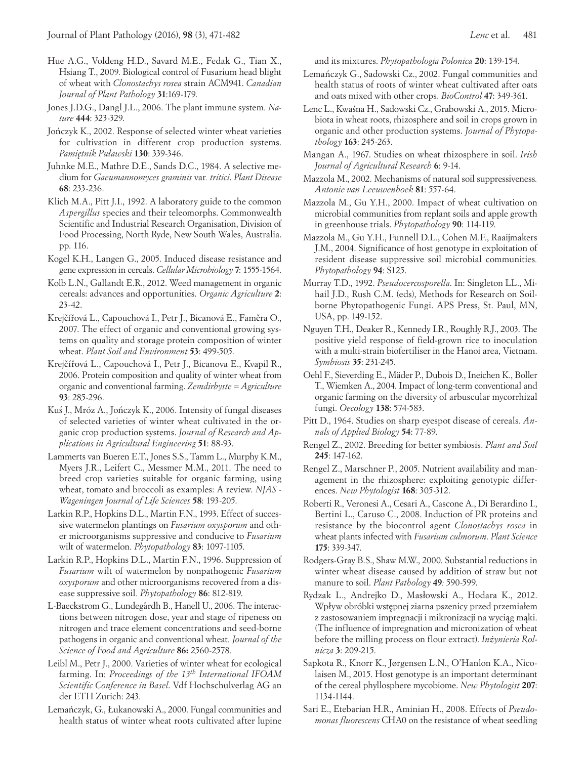- Hue A.G., Voldeng H.D., Savard M.E., Fedak G., Tian X., Hsiang T., 2009. Biological control of Fusarium head blight of wheat with *Clonostachys rosea* strain ACM941. *Canadian Journal of Plant Pathology* **31**:169-179.
- Jones J.D.G., Dangl J.L., 2006. The plant immune system. *Nature* **444**: 323-329.
- Jończyk K., 2002. Response of selected winter wheat varieties for cultivation in different crop production systems. *Pamiętnik Puławski* **130**: 339-346.
- Juhnke M.E., Mathre D.E., Sands D.C., 1984. A selective medium for *Gaeumannomyces graminis* var*. tritici*. *Plant Disease* **68**: 233-236.
- Klich M.A., Pitt J.I., 1992. A laboratory guide to the common *Aspergillus* species and their teleomorphs. Commonwealth Scientific and Industrial Research Organisation, Division of Food Processing, North Ryde, New South Wales, Australia. pp. 116.
- Kogel K.H., Langen G., 2005. Induced disease resistance and gene expression in cereals. *Cellular Microbiology* **7**: 1555-1564.
- Kolb L.N., Gallandt E.R., 2012. Weed management in organic cereals: advances and opportunities. *Organic Agriculture* **2**: 23-42.
- Krejčířová L., Capouchová I., Petr J., Bicanová E., Faměra O., 2007. The effect of organic and conventional growing systems on quality and storage protein composition of winter wheat. *Plant Soil and Environment* **53**: 499-505.
- Krejčířová L., Capouchová I., Petr J., Bicanova E., Kvapil R., 2006. Protein composition and quality of winter wheat from organic and conventional farming. *Zemdirbyste = Agriculture* **93**: 285-296.
- Kuś J., Mróz A., Jończyk K., 2006. Intensity of fungal diseases of selected varieties of winter wheat cultivated in the organic crop production systems. *Journal of Research and Applications in Agricultural Engineering* **51**: 88-93.
- Lammerts van Bueren E.T., Jones S.S., Tamm L., Murphy K.M., Myers J.R., Leifert C., Messmer M.M., 2011. The need to breed crop varieties suitable for organic farming, using wheat, tomato and broccoli as examples: A review. *NJAS - Wageningen Journal of Life Sciences* **58**: 193-205.
- Larkin R.P., Hopkins D.L., Martin F.N., 1993. Effect of successive watermelon plantings on *Fusarium oxysporum* and other microorganisms suppressive and conducive to *Fusarium*  wilt of watermelon. *Phytopathology* **83**: 1097-1105.
- Larkin R.P., Hopkins D.L., Martin F.N., 1996. Suppression of *Fusarium* wilt of watermelon by nonpathogenic *Fusarium oxysporum* and other microorganisms recovered from a disease suppressive soil*. Phytopathology* **86**: 812-819.
- L-Baeckstrom G., Lundegårdh B., Hanell U., 2006. The interactions between nitrogen dose, year and stage of ripeness on nitrogen and trace element concentrations and seed-borne pathogens in organic and conventional wheat*. Journal of the Science of Food and Agriculture* **86:** 2560-2578.
- Leibl M., Petr J., 2000. Varieties of winter wheat for ecological farming. In: *Proceedings of the 13th International IFOAM Scientific Conference in Basel*. Vdf Hochschulverlag AG an der ETH Zurich: 243.
- Lemańczyk, G., Łukanowski A., 2000. Fungal communities and health status of winter wheat roots cultivated after lupine

and its mixtures. *Phytopathologia Polonica* **20**: 139-154.

- Lemańczyk G., Sadowski Cz., 2002. Fungal communities and health status of roots of winter wheat cultivated after oats and oats mixed with other crops. *BioControl* **47**: 349-361.
- Lenc L., Kwaśna H., Sadowski Cz., Grabowski A., 2015. Microbiota in wheat roots, rhizosphere and soil in crops grown in organic and other production systems. *Journal of Phytopathology* **163**: 245-263.
- Mangan A., 1967. Studies on wheat rhizosphere in soil. *Irish Journal of Agricultural Research* **6**: 9-14.
- Mazzola M., 2002. Mechanisms of natural soil suppressiveness*. Antonie van Leeuwenhoek* **81**: 557-64.
- Mazzola M., Gu Y.H., 2000. Impact of wheat cultivation on microbial communities from replant soils and apple growth in greenhouse trials. *Phytopathology* **90**: 114-119.
- Mazzola M., Gu Y.H., Funnell D.L., Cohen M.F., Raaijmakers J.M., 2004. Significance of host genotype in exploitation of resident disease suppressive soil microbial communities*. Phytopathology* **94**: S125.
- Murray T.D., 1992. *Pseudocercosporella*. In: Singleton LL., Mihail J.D., Rush C.M. (eds), Methods for Research on Soilborne Phytopathogenic Fungi. APS Press, St. Paul, MN, USA, pp. 149-152.
- Nguyen T.H., Deaker R., Kennedy I.R., Roughly R.J., 2003. The positive yield response of field-grown rice to inoculation with a multi-strain biofertiliser in the Hanoi area, Vietnam. *Symbiosis* **35**: 231-245.
- Oehl F., Sieverding E., Mäder P., Dubois D., Ineichen K., Boller T., Wiemken A., 2004. Impact of long-term conventional and organic farming on the diversity of arbuscular mycorrhizal fungi. *Oecology* **138**: 574-583.
- Pitt D., 1964. Studies on sharp eyespot disease of cereals. *Annals of Applied Biology* **54**: 77-89.
- Rengel Z., 2002. Breeding for better symbiosis. *Plant and Soil* **245**: 147-162.
- Rengel Z., Marschner P., 2005. Nutrient availability and management in the rhizosphere: exploiting genotypic differences. *New Phytologist* **168**: 305-312.
- Roberti R., Veronesi A., Cesari A., Cascone A., Di Berardino I., Bertini L., Caruso C., 2008. Induction of PR proteins and resistance by the biocontrol agent *Clonostachys rosea* in wheat plants infected with *Fusarium culmorum*. *Plant Science* **175**: 339-347.
- Rodgers-Gray B.S., Shaw M.W., 2000. Substantial reductions in winter wheat disease caused by addition of straw but not manure to soil. *Plant Pathology* **49***:* 590-599.
- Rydzak L., Andrejko D., Masłowski A., Hodara K., 2012. Wpływ obróbki wstępnej ziarna pszenicy przed przemiałem z zastosowaniem impregnacji i mikronizacji na wyciąg mąki. (The influence of impregnation and micronization of wheat before the milling process on flour extract). *Inżynieria Rolnicza* **3**: 209-215.
- Sapkota R., Knorr K., Jørgensen L.N., O'Hanlon K.A., Nicolaisen M., 2015. Host genotype is an important determinant of the cereal phyllosphere mycobiome. *New Phytologist* **207**: 1134-1144.
- Sari E., Etebarian H.R., Aminian H., 2008. Effects of *Pseudomonas fluorescens* CHA0 on the resistance of wheat seedling